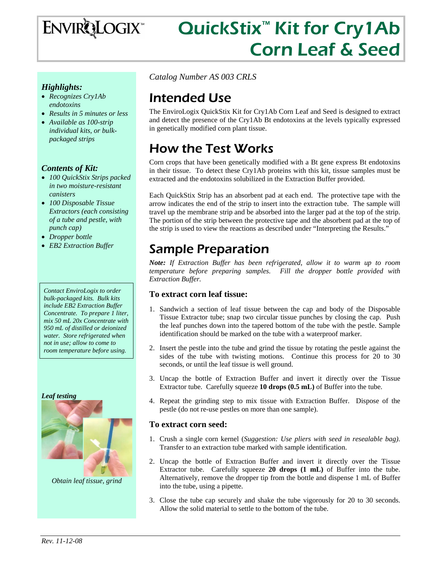

# QuickStix<sup>™</sup> Kit for Cry1Ab Corn Leaf & Seed

### *Highlights:*

- *Recognizes Cry1Ab endotoxins*
- *Results in 5 minutes or less*
- *Available as 100-strip individual kits, or bulkpackaged strips*

#### *Contents of Kit:*

- *100 QuickStix Strips packed in two moisture-resistant canisters*
- *100 Disposable Tissue Extractors (each consisting of a tube and pestle, with punch cap)*
- *Dropper bottle*
- *EB2 Extraction Buffer*

#### *Contact EnviroLogix to order bulk-packaged kits. Bulk kits include EB2 Extraction Buffer Concentrate. To prepare 1 liter, mix 50 mL 20x Concentrate with 950 mL of distilled or deionized water. Store refrigerated when not in use; allow to come to room temperature before using.*

#### *Leaf testing*



*Obtain leaf tissue, grind* 

*Catalog Number AS 003 CRLS* 

## Intended Use

The EnviroLogix QuickStix Kit for Cry1Ab Corn Leaf and Seed is designed to extract and detect the presence of the Cry1Ab Bt endotoxins at the levels typically expressed in genetically modified corn plant tissue.

# How the Test Works

Corn crops that have been genetically modified with a Bt gene express Bt endotoxins in their tissue. To detect these Cry1Ab proteins with this kit, tissue samples must be extracted and the endotoxins solubilized in the Extraction Buffer provided.

Each QuickStix Strip has an absorbent pad at each end. The protective tape with the arrow indicates the end of the strip to insert into the extraction tube. The sample will travel up the membrane strip and be absorbed into the larger pad at the top of the strip. The portion of the strip between the protective tape and the absorbent pad at the top of the strip is used to view the reactions as described under "Interpreting the Results."

## Sample Preparation

*Note: If Extraction Buffer has been refrigerated, allow it to warm up to room temperature before preparing samples. Fill the dropper bottle provided with Extraction Buffer.* 

### **To extract corn leaf tissue:**

- 1. Sandwich a section of leaf tissue between the cap and body of the Disposable Tissue Extractor tube; snap two circular tissue punches by closing the cap. Push the leaf punches down into the tapered bottom of the tube with the pestle. Sample identification should be marked on the tube with a waterproof marker.
- 2. Insert the pestle into the tube and grind the tissue by rotating the pestle against the sides of the tube with twisting motions. Continue this process for 20 to 30 seconds, or until the leaf tissue is well ground.
- 3. Uncap the bottle of Extraction Buffer and invert it directly over the Tissue Extractor tube. Carefully squeeze **10 drops (0.5 mL)** of Buffer into the tube.
- 4. Repeat the grinding step to mix tissue with Extraction Buffer. Dispose of the pestle (do not re-use pestles on more than one sample).

#### **To extract corn seed:**

- 1. Crush a single corn kernel (*Suggestion: Use pliers with seed in resealable bag)*. Transfer to an extraction tube marked with sample identification.
- 2. Uncap the bottle of Extraction Buffer and invert it directly over the Tissue Extractor tube. Carefully squeeze **20 drops (1 mL)** of Buffer into the tube. Alternatively, remove the dropper tip from the bottle and dispense 1 mL of Buffer into the tube, using a pipette.
- 3. Close the tube cap securely and shake the tube vigorously for 20 to 30 seconds. Allow the solid material to settle to the bottom of the tube.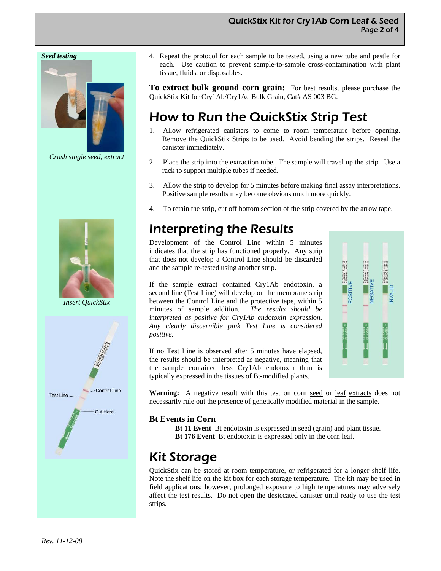#### *Seed testing*



*Crush single seed, extract* 



*Insert QuickStix* 



4. Repeat the protocol for each sample to be tested, using a new tube and pestle for each. Use caution to prevent sample-to-sample cross-contamination with plant tissue, fluids, or disposables.

**To extract bulk ground corn grain:** For best results, please purchase the QuickStix Kit for Cry1Ab/Cry1Ac Bulk Grain, Cat# AS 003 BG.

# How to Run the QuickStix Strip Test

- 1. Allow refrigerated canisters to come to room temperature before opening. Remove the QuickStix Strips to be used. Avoid bending the strips. Reseal the canister immediately.
- 2. Place the strip into the extraction tube. The sample will travel up the strip. Use a rack to support multiple tubes if needed.
- 3. Allow the strip to develop for 5 minutes before making final assay interpretations. Positive sample results may become obvious much more quickly.
- 4. To retain the strip, cut off bottom section of the strip covered by the arrow tape.

### Interpreting the Results

Development of the Control Line within 5 minutes indicates that the strip has functioned properly. Any strip that does not develop a Control Line should be discarded and the sample re-tested using another strip.

If the sample extract contained Cry1Ab endotoxin, a second line (Test Line) will develop on the membrane strip between the Control Line and the protective tape, within 5 minutes of sample addition*. The results should be interpreted as positive for Cry1Ab endotoxin expression*. *Any clearly discernible pink Test Line is considered positive.*

If no Test Line is observed after 5 minutes have elapsed, the results should be interpreted as negative, meaning that the sample contained less Cry1Ab endotoxin than is typically expressed in the tissues of Bt-modified plants.



**Warning:** A negative result with this test on corn seed or leaf extracts does not necessarily rule out the presence of genetically modified material in the sample.

#### **Bt Events in Corn**

**Bt 11 Event** Bt endotoxin is expressed in seed (grain) and plant tissue.  **Bt 176 Event** Bt endotoxin is expressed only in the corn leaf.

### Kit Storage

QuickStix can be stored at room temperature, or refrigerated for a longer shelf life. Note the shelf life on the kit box for each storage temperature. The kit may be used in field applications; however, prolonged exposure to high temperatures may adversely affect the test results. Do not open the desiccated canister until ready to use the test strips.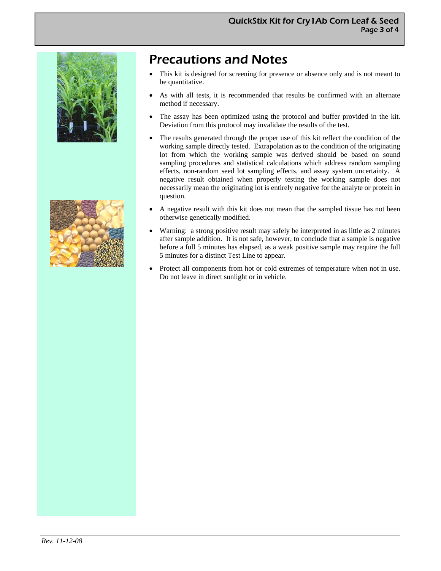



# Precautions and Notes

- This kit is designed for screening for presence or absence only and is not meant to be quantitative.
- As with all tests, it is recommended that results be confirmed with an alternate method if necessary.
- The assay has been optimized using the protocol and buffer provided in the kit. Deviation from this protocol may invalidate the results of the test.
- The results generated through the proper use of this kit reflect the condition of the working sample directly tested. Extrapolation as to the condition of the originating lot from which the working sample was derived should be based on sound sampling procedures and statistical calculations which address random sampling effects, non-random seed lot sampling effects, and assay system uncertainty. A negative result obtained when properly testing the working sample does not necessarily mean the originating lot is entirely negative for the analyte or protein in question.
- A negative result with this kit does not mean that the sampled tissue has not been otherwise genetically modified.
- Warning: a strong positive result may safely be interpreted in as little as 2 minutes after sample addition. It is not safe, however, to conclude that a sample is negative before a full 5 minutes has elapsed, as a weak positive sample may require the full 5 minutes for a distinct Test Line to appear.
- Protect all components from hot or cold extremes of temperature when not in use. Do not leave in direct sunlight or in vehicle.